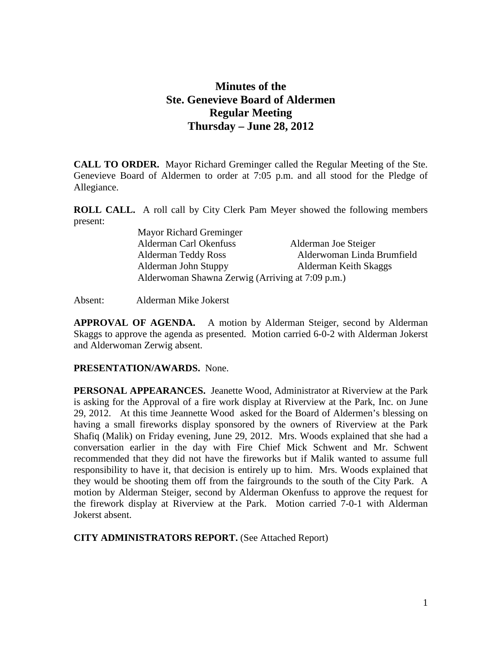# **Minutes of the Ste. Genevieve Board of Aldermen Regular Meeting Thursday – June 28, 2012**

**CALL TO ORDER.** Mayor Richard Greminger called the Regular Meeting of the Ste. Genevieve Board of Aldermen to order at 7:05 p.m. and all stood for the Pledge of Allegiance.

**ROLL CALL.** A roll call by City Clerk Pam Meyer showed the following members present:

| Mayor Richard Greminger                          |                            |
|--------------------------------------------------|----------------------------|
| Alderman Carl Okenfuss                           | Alderman Joe Steiger       |
| <b>Alderman Teddy Ross</b>                       | Alderwoman Linda Brumfield |
| Alderman John Stuppy                             | Alderman Keith Skaggs      |
| Alderwoman Shawna Zerwig (Arriving at 7:09 p.m.) |                            |

Absent: Alderman Mike Jokerst

**APPROVAL OF AGENDA.** A motion by Alderman Steiger, second by Alderman Skaggs to approve the agenda as presented. Motion carried 6-0-2 with Alderman Jokerst and Alderwoman Zerwig absent.

### **PRESENTATION/AWARDS.** None.

**PERSONAL APPEARANCES.** Jeanette Wood, Administrator at Riverview at the Park is asking for the Approval of a fire work display at Riverview at the Park, Inc. on June 29, 2012. At this time Jeannette Wood asked for the Board of Aldermen's blessing on having a small fireworks display sponsored by the owners of Riverview at the Park Shafiq (Malik) on Friday evening, June 29, 2012. Mrs. Woods explained that she had a conversation earlier in the day with Fire Chief Mick Schwent and Mr. Schwent recommended that they did not have the fireworks but if Malik wanted to assume full responsibility to have it, that decision is entirely up to him. Mrs. Woods explained that they would be shooting them off from the fairgrounds to the south of the City Park. A motion by Alderman Steiger, second by Alderman Okenfuss to approve the request for the firework display at Riverview at the Park. Motion carried 7-0-1 with Alderman Jokerst absent.

**CITY ADMINISTRATORS REPORT.** (See Attached Report)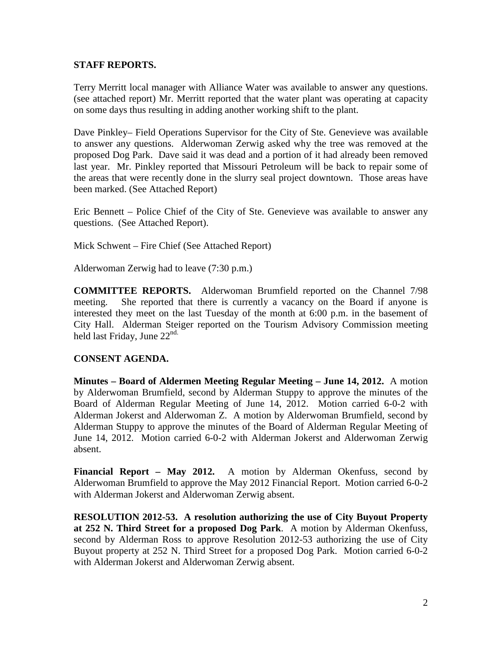### **STAFF REPORTS.**

Terry Merritt local manager with Alliance Water was available to answer any questions. (see attached report) Mr. Merritt reported that the water plant was operating at capacity on some days thus resulting in adding another working shift to the plant.

Dave Pinkley– Field Operations Supervisor for the City of Ste. Genevieve was available to answer any questions. Alderwoman Zerwig asked why the tree was removed at the proposed Dog Park. Dave said it was dead and a portion of it had already been removed last year. Mr. Pinkley reported that Missouri Petroleum will be back to repair some of the areas that were recently done in the slurry seal project downtown. Those areas have been marked. (See Attached Report)

Eric Bennett – Police Chief of the City of Ste. Genevieve was available to answer any questions. (See Attached Report).

Mick Schwent – Fire Chief (See Attached Report)

Alderwoman Zerwig had to leave (7:30 p.m.)

**COMMITTEE REPORTS.** Alderwoman Brumfield reported on the Channel 7/98 meeting. She reported that there is currently a vacancy on the Board if anyone is interested they meet on the last Tuesday of the month at 6:00 p.m. in the basement of City Hall. Alderman Steiger reported on the Tourism Advisory Commission meeting held last Friday, June  $22<sup>nd</sup>$ .

# **CONSENT AGENDA.**

**Minutes – Board of Aldermen Meeting Regular Meeting – June 14, 2012.** A motion by Alderwoman Brumfield, second by Alderman Stuppy to approve the minutes of the Board of Alderman Regular Meeting of June 14, 2012. Motion carried 6-0-2 with Alderman Jokerst and Alderwoman Z. A motion by Alderwoman Brumfield, second by Alderman Stuppy to approve the minutes of the Board of Alderman Regular Meeting of June 14, 2012. Motion carried 6-0-2 with Alderman Jokerst and Alderwoman Zerwig absent.

**Financial Report – May 2012.** A motion by Alderman Okenfuss, second by Alderwoman Brumfield to approve the May 2012 Financial Report. Motion carried 6-0-2 with Alderman Jokerst and Alderwoman Zerwig absent.

**RESOLUTION 2012-53. A resolution authorizing the use of City Buyout Property at 252 N. Third Street for a proposed Dog Park**. A motion by Alderman Okenfuss, second by Alderman Ross to approve Resolution 2012-53 authorizing the use of City Buyout property at 252 N. Third Street for a proposed Dog Park. Motion carried 6-0-2 with Alderman Jokerst and Alderwoman Zerwig absent.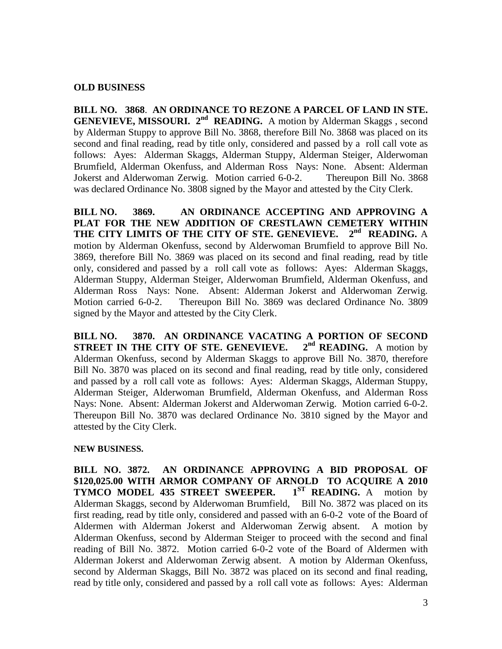#### **OLD BUSINESS**

**BILL NO. 3868**. **AN ORDINANCE TO REZONE A PARCEL OF LAND IN STE. GENEVIEVE, MISSOURI.** 2<sup>nd</sup> **READING.** A motion by Alderman Skaggs, second by Alderman Stuppy to approve Bill No. 3868, therefore Bill No. 3868 was placed on its second and final reading, read by title only, considered and passed by a roll call vote as follows: Ayes: Alderman Skaggs, Alderman Stuppy, Alderman Steiger, Alderwoman Brumfield, Alderman Okenfuss, and Alderman Ross Nays: None. Absent: Alderman Jokerst and Alderwoman Zerwig. Motion carried 6-0-2. Thereupon Bill No. 3868 was declared Ordinance No. 3808 signed by the Mayor and attested by the City Clerk.

**BILL NO. 3869. AN ORDINANCE ACCEPTING AND APPROVING A PLAT FOR THE NEW ADDITION OF CRESTLAWN CEMETERY WITHIN THE CITY LIMITS OF THE CITY OF STE. GENEVIEVE. 2nd READING.** A motion by Alderman Okenfuss, second by Alderwoman Brumfield to approve Bill No. 3869, therefore Bill No. 3869 was placed on its second and final reading, read by title only, considered and passed by a roll call vote as follows: Ayes: Alderman Skaggs, Alderman Stuppy, Alderman Steiger, Alderwoman Brumfield, Alderman Okenfuss, and Alderman Ross Nays: None. Absent: Alderman Jokerst and Alderwoman Zerwig. Motion carried 6-0-2. Thereupon Bill No. 3869 was declared Ordinance No. 3809 signed by the Mayor and attested by the City Clerk.

**BILL NO. 3870. AN ORDINANCE VACATING A PORTION OF SECOND STREET IN THE CITY OF STE. GENEVIEVE.**  $2^{nd}$  **READING.** A motion by Alderman Okenfuss, second by Alderman Skaggs to approve Bill No. 3870, therefore Bill No. 3870 was placed on its second and final reading, read by title only, considered and passed by a roll call vote as follows: Ayes: Alderman Skaggs, Alderman Stuppy, Alderman Steiger, Alderwoman Brumfield, Alderman Okenfuss, and Alderman Ross Nays: None. Absent: Alderman Jokerst and Alderwoman Zerwig. Motion carried 6-0-2. Thereupon Bill No. 3870 was declared Ordinance No. 3810 signed by the Mayor and attested by the City Clerk.

#### **NEW BUSINESS.**

**BILL NO. 3872. AN ORDINANCE APPROVING A BID PROPOSAL OF**  \$120,025.00 WITH ARMOR COMPANY OF ARNOLD TO ACQUIRE A 2010 **TYMCO MODEL 435 STREET SWEEPER.** 1<sup>ST</sup> READING. A motion by **TYMCO MODEL 435 STREET SWEEPER.** Alderman Skaggs, second by Alderwoman Brumfield, Bill No. 3872 was placed on its first reading, read by title only, considered and passed with an 6-0-2 vote of the Board of Aldermen with Alderman Jokerst and Alderwoman Zerwig absent. A motion by Alderman Okenfuss, second by Alderman Steiger to proceed with the second and final reading of Bill No. 3872. Motion carried 6-0-2 vote of the Board of Aldermen with Alderman Jokerst and Alderwoman Zerwig absent. A motion by Alderman Okenfuss, second by Alderman Skaggs, Bill No. 3872 was placed on its second and final reading, read by title only, considered and passed by a roll call vote as follows: Ayes: Alderman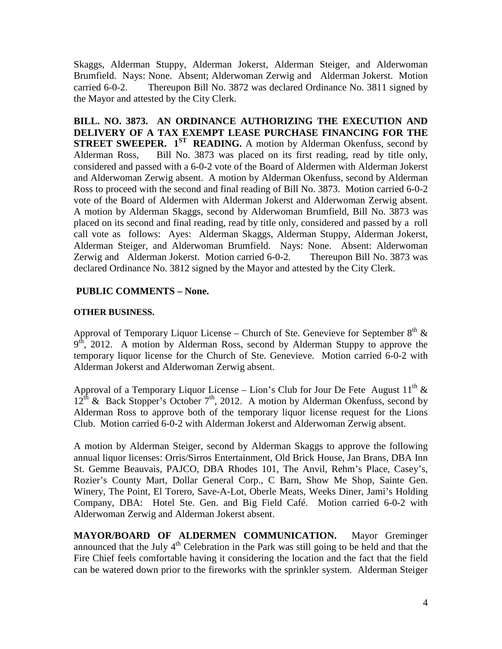Skaggs, Alderman Stuppy, Alderman Jokerst, Alderman Steiger, and Alderwoman Brumfield. Nays: None. Absent; Alderwoman Zerwig and Alderman Jokerst. Motion carried 6-0-2. Thereupon Bill No. 3872 was declared Ordinance No. 3811 signed by the Mayor and attested by the City Clerk.

**BILL. NO. 3873. AN ORDINANCE AUTHORIZING THE EXECUTION AND DELIVERY OF A TAX EXEMPT LEASE PURCHASE FINANCING FOR THE STREET SWEEPER. 1ST READING.** A motion by Alderman Okenfuss, second by Alderman Ross, Bill No. 3873 was placed on its first reading, read by title only, considered and passed with a 6-0-2 vote of the Board of Aldermen with Alderman Jokerst and Alderwoman Zerwig absent. A motion by Alderman Okenfuss, second by Alderman Ross to proceed with the second and final reading of Bill No. 3873. Motion carried 6-0-2 vote of the Board of Aldermen with Alderman Jokerst and Alderwoman Zerwig absent. A motion by Alderman Skaggs, second by Alderwoman Brumfield, Bill No. 3873 was placed on its second and final reading, read by title only, considered and passed by a roll call vote as follows: Ayes: Alderman Skaggs, Alderman Stuppy, Alderman Jokerst, Alderman Steiger, and Alderwoman Brumfield. Nays: None. Absent: Alderwoman Zerwig and Alderman Jokerst. Motion carried 6-0-2. Thereupon Bill No. 3873 was declared Ordinance No. 3812 signed by the Mayor and attested by the City Clerk.

# **PUBLIC COMMENTS – None.**

## **OTHER BUSINESS.**

Approval of Temporary Liquor License – Church of Ste. Genevieve for September  $8<sup>th</sup>$  &  $9<sup>th</sup>$ , 2012. A motion by Alderman Ross, second by Alderman Stuppy to approve the temporary liquor license for the Church of Ste. Genevieve. Motion carried 6-0-2 with Alderman Jokerst and Alderwoman Zerwig absent.

Approval of a Temporary Liquor License – Lion's Club for Jour De Fete August  $11<sup>th</sup>$  &  $12<sup>th</sup>$  & Back Stopper's October 7<sup>th</sup>, 2012. A motion by Alderman Okenfuss, second by Alderman Ross to approve both of the temporary liquor license request for the Lions Club. Motion carried 6-0-2 with Alderman Jokerst and Alderwoman Zerwig absent.

A motion by Alderman Steiger, second by Alderman Skaggs to approve the following annual liquor licenses: Orris/Sirros Entertainment, Old Brick House, Jan Brans, DBA Inn St. Gemme Beauvais, PAJCO, DBA Rhodes 101, The Anvil, Rehm's Place, Casey's, Rozier's County Mart, Dollar General Corp., C Barn, Show Me Shop, Sainte Gen. Winery, The Point, El Torero, Save-A-Lot, Oberle Meats, Weeks Diner, Jami's Holding Company, DBA: Hotel Ste. Gen. and Big Field Café. Motion carried 6-0-2 with Alderwoman Zerwig and Alderman Jokerst absent.

**MAYOR/BOARD OF ALDERMEN COMMUNICATION.** Mayor Greminger announced that the July  $4<sup>th</sup>$  Celebration in the Park was still going to be held and that the Fire Chief feels comfortable having it considering the location and the fact that the field can be watered down prior to the fireworks with the sprinkler system. Alderman Steiger